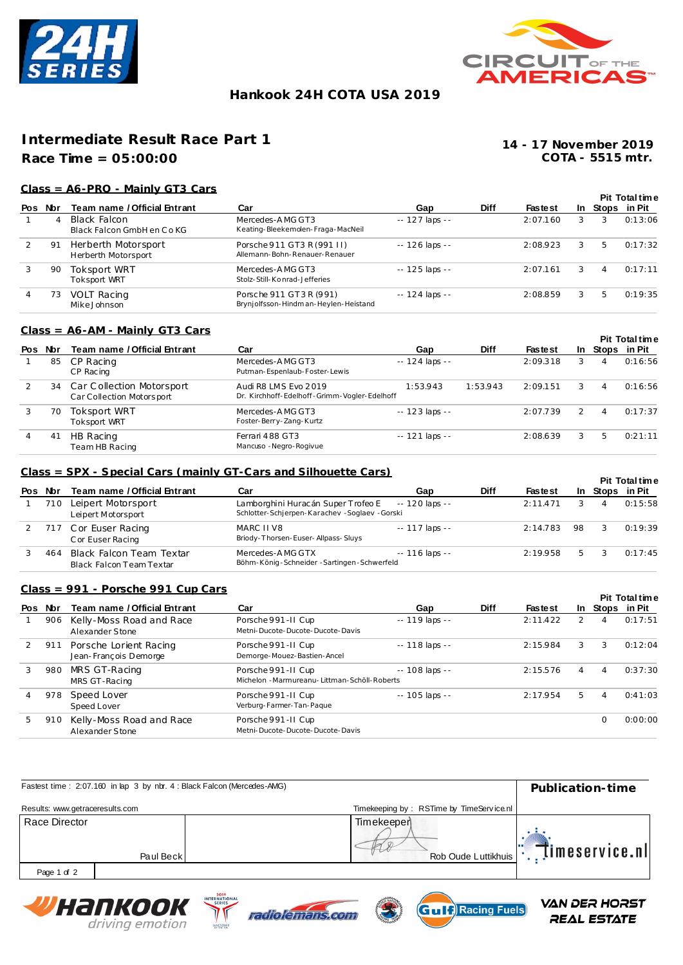



## **Hankook 24H COTA USA 2019**

# **Intermediate Result Race Part 1**

## **Race Time = 05:00:00**

**COTA - 5515 mtr. 14 - 17 November 2019**

### **Class = A6-PRO - Mainly GT3 Cars**

|                |            |                                            |                                                                 |                 |             |                |               |                 | <b>Pit Total time</b> |
|----------------|------------|--------------------------------------------|-----------------------------------------------------------------|-----------------|-------------|----------------|---------------|-----------------|-----------------------|
| Pos            | <b>Nbr</b> | Team name / Official Entrant               | Car                                                             | Gap             | <b>Diff</b> | <b>Fastest</b> |               | In Stops in Pit |                       |
|                | 4          | Black Falcon<br>Black Falcon GmbH en Co KG | Mercedes-AMG GT3<br>Keating-Bleekemolen-Fraga-MacNeil           | -- 127 laps --  |             | 2:07.160       | 3             | 3               | 0:13:06               |
| $\overline{2}$ | 91         | Herberth Motorsport<br>Herberth Motorsport | Porsche 911 GT3 R (991 II)<br>Allemann-Bohn-Renauer-Renauer     | $-126$ laps $-$ |             | 2:08.923       | 3             | 5               | 0:17:32               |
| 3              | 90         | Toksport WRT<br><b>Toksport WRT</b>        | Mercedes-AMG GT3<br>Stolz-Still-Konrad-Jefferies                | -- 125 laps --  |             | 2:07.161       | 3             | 4               | 0:17:11               |
| $\overline{4}$ | 73         | <b>VOLT Racing</b><br>Mike Johnson         | Porsche 911 GT3 R (991)<br>Brynjolfsson-Hindman-Heylen-Heistand | $-124$ laps $-$ |             | 2:08.859       | $\mathcal{E}$ | 5               | 0:19:35               |

#### **Class = A6-AM - Mainly GT3 Cars**

|     |     |                                                           |                                                                      |                 |             |                |                |                | <b>Pit Total time</b> |
|-----|-----|-----------------------------------------------------------|----------------------------------------------------------------------|-----------------|-------------|----------------|----------------|----------------|-----------------------|
| Pos | Nbr | Team name / Official Entrant                              | Car                                                                  | Gap             | <b>Diff</b> | <b>Fastest</b> | In .           |                | Stops in Pit          |
|     | 85  | CP Racing<br>CP Racing                                    | Mercedes-AMG GT3<br>Putman-Espenlaub-Foster-Lewis                    | $-124$ laps $-$ |             | 2:09.318       | 3              | 4              | 0:16:56               |
|     |     | 34 Car Collection Motorsport<br>Car Collection Motorsport | Audi R8 LMS Evo 2019<br>Dr. Kirchhoff-Edelhoff-Grimm-Vogler-Edelhoff | 1:53.943        | 1:53.943    | 2:09.151       | $\mathbf{3}$   | $\overline{A}$ | 0:16:56               |
|     | 70  | Toksport WRT<br><b>Toksport WRT</b>                       | Mercedes-AMG GT3<br>Foster-Berry-Zang-Kurtz                          | $-123$ laps $-$ |             | 2:07.739       | $\overline{2}$ | $\overline{A}$ | 0:17:37               |
|     | 41  | HB Racing<br>Team HB Racing                               | Ferrari 488 GT3<br>Mancuso - Negro-Rogivue                           | $-121$ laps $-$ |             | 2:08.639       | 3              | 5              | 0:21:11               |

#### **Class = SPX - Special Cars (mainly GT-Cars and Silhouette Cars)**

|     |      |                                                      |                                                                                                      |                 |             |                |    |                 | <b>Pit Total time</b> |
|-----|------|------------------------------------------------------|------------------------------------------------------------------------------------------------------|-----------------|-------------|----------------|----|-----------------|-----------------------|
| Pos | Nbr  | Team name / Official Entrant                         | Car                                                                                                  | Gap             | <b>Diff</b> | <b>Fastest</b> |    | In Stops in Pit |                       |
|     | 71 O | Leipert Motorsport<br>Leipert Motorsport             | Lamborghini Huracán Super Trofeo E -- 120 laps --<br>Schlotter-Schierpen-Karachev - Soglaev - Gorski |                 |             | 2:11.471       |    | 4               | 0:15:58               |
|     |      | 717 Cor Euser Racing<br>C or Euser Racing            | MARC II V8<br>Briody-Thorsen-Euser-Allpass-Sluys                                                     | $-117$ laps $-$ |             | 2:14.783       | 98 | -3              | 0:19:39               |
|     | 464  | Black Falcon Team Textar<br>Black Falcon Team Textar | Mercedes-AMG GTX<br>Böhm-König-Schneider-Sartingen-Schwerfeld                                        | $-116$ laps $-$ |             | 2:19.958       | 5  |                 | 0:17:45               |

#### **Class = 991 - Porsche 991 Cup Cars**

|   |         |                                                 |                                                                       |                 |             |                |   |   | <b>Pit Total time</b> |
|---|---------|-------------------------------------------------|-----------------------------------------------------------------------|-----------------|-------------|----------------|---|---|-----------------------|
|   | Pos Nor | Team name / Official Entrant                    | Car                                                                   | Gap             | <b>Diff</b> | <b>Fastest</b> |   |   | In Stops in Pit       |
|   | 906     | Kelly-Moss Road and Race<br>Alexander Stone     | Porsche 991-II Cup<br>Metni-Ducote-Ducote-Ducote-Davis                | $-119$ laps $-$ |             | 2:11.422       | 2 | 4 | 0:17:51               |
|   | 911     | Porsche Lorient Racing<br>Jean-François Demorge | Porsche 991 - II Cup<br>Demorge-Mouez-Bastien-Ancel                   | $-118$ laps $-$ |             | 2:15.984       | 3 | 3 | 0:12:04               |
| 3 | 980     | MRS GT-Racing<br>MRS GT-Racing                  | Porsche 991 - II Cup<br>Michelon - Marmureanu- Littman-Schöll-Roberts | $-108$ laps $-$ |             | 2:15.576       | 4 | 4 | 0:37:30               |
|   | 978     | Speed Lover<br>Speed Lover                      | Porsche 991-II Cup<br>Verburg-Farmer-Tan-Pague                        | -- 105 laps --  |             | 2:17.954       | 5 | 4 | 0:41:03               |
| 5 | 910     | Kelly-Moss Road and Race<br>Alexander Stone     | Porsche 991-II Cup<br>Metni-Ducote-Ducote-Ducote-Davis                |                 |             |                |   | 0 | 0:00:00               |

| Fastest time: 2:07.160 in lap 3 by nbr. 4 : Black Falcon (Mercedes-AMG) | Publication-time                                                    |
|-------------------------------------------------------------------------|---------------------------------------------------------------------|
| Results: www.getraceresults.com                                         | Timekeeping by: RSTime by TimeService.nl                            |
| Race Director<br>Paul Beck                                              | Timekeeper<br>$ \ddot{\cdot} $ imeservice.nl<br>Rob Oude Luttikhuis |
| Page 1 of 2                                                             |                                                                     |
| 2019<br>INTERNATIONAL<br>Ширпиали                                       | VAN OES HOSET                                                       |





REAL ESTATE